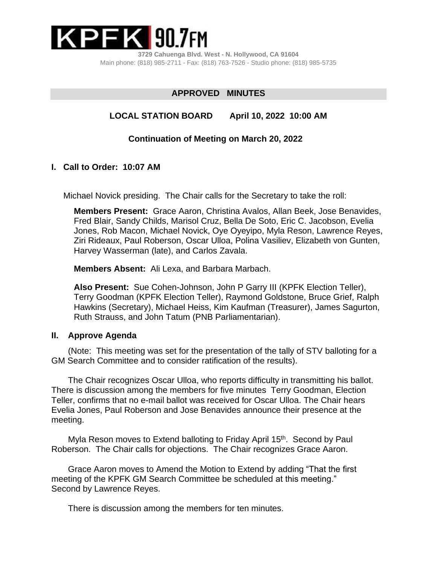

**3729 Cahuenga Blvd. West - N. Hollywood, CA 91604** Main phone: (818) 985-2711 - Fax: (818) 763-7526 - Studio phone: (818) 985-5735

# **APPROVED MINUTES**

## **LOCAL STATION BOARD April 10, 2022 10:00 AM**

### **Continuation of Meeting on March 20, 2022**

### **I. Call to Order: 10:07 AM**

Michael Novick presiding.The Chair calls for the Secretary to take the roll:

**Members Present:** Grace Aaron, Christina Avalos, Allan Beek, Jose Benavides, Fred Blair, Sandy Childs, Marisol Cruz, Bella De Soto, Eric C. Jacobson, Evelia Jones, Rob Macon, Michael Novick, Oye Oyeyipo, Myla Reson, Lawrence Reyes, Ziri Rideaux, Paul Roberson, Oscar Ulloa, Polina Vasiliev, Elizabeth von Gunten, Harvey Wasserman (late), and Carlos Zavala.

**Members Absent:** Ali Lexa, and Barbara Marbach.

**Also Present:** Sue Cohen-Johnson, John P Garry III (KPFK Election Teller), Terry Goodman (KPFK Election Teller), Raymond Goldstone, Bruce Grief, Ralph Hawkins (Secretary), Michael Heiss, Kim Kaufman (Treasurer), James Sagurton, Ruth Strauss, and John Tatum (PNB Parliamentarian).

#### **II. Approve Agenda**

 (Note: This meeting was set for the presentation of the tally of STV balloting for a GM Search Committee and to consider ratification of the results).

 The Chair recognizes Oscar Ulloa, who reports difficulty in transmitting his ballot. There is discussion among the members for five minutes Terry Goodman, Election Teller, confirms that no e-mail ballot was received for Oscar Ulloa. The Chair hears Evelia Jones, Paul Roberson and Jose Benavides announce their presence at the meeting.

Myla Reson moves to Extend balloting to Friday April 15<sup>th</sup>. Second by Paul Roberson. The Chair calls for objections. The Chair recognizes Grace Aaron.

 Grace Aaron moves to Amend the Motion to Extend by adding "That the first meeting of the KPFK GM Search Committee be scheduled at this meeting." Second by Lawrence Reyes.

There is discussion among the members for ten minutes.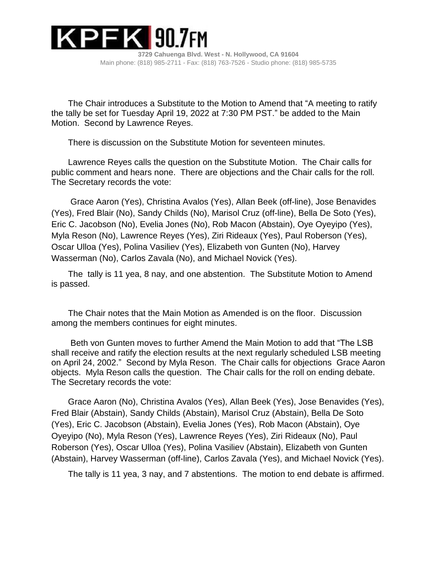

**3729 Cahuenga Blvd. West - N. Hollywood, CA 91604** Main phone: (818) 985-2711 - Fax: (818) 763-7526 - Studio phone: (818) 985-5735

 The Chair introduces a Substitute to the Motion to Amend that "A meeting to ratify the tally be set for Tuesday April 19, 2022 at 7:30 PM PST." be added to the Main Motion. Second by Lawrence Reyes.

There is discussion on the Substitute Motion for seventeen minutes.

 Lawrence Reyes calls the question on the Substitute Motion. The Chair calls for public comment and hears none. There are objections and the Chair calls for the roll. The Secretary records the vote:

 Grace Aaron (Yes), Christina Avalos (Yes), Allan Beek (off-line), Jose Benavides (Yes), Fred Blair (No), Sandy Childs (No), Marisol Cruz (off-line), Bella De Soto (Yes), Eric C. Jacobson (No), Evelia Jones (No), Rob Macon (Abstain), Oye Oyeyipo (Yes), Myla Reson (No), Lawrence Reyes (Yes), Ziri Rideaux (Yes), Paul Roberson (Yes), Oscar Ulloa (Yes), Polina Vasiliev (Yes), Elizabeth von Gunten (No), Harvey Wasserman (No), Carlos Zavala (No), and Michael Novick (Yes).

 The tally is 11 yea, 8 nay, and one abstention. The Substitute Motion to Amend is passed.

 The Chair notes that the Main Motion as Amended is on the floor. Discussion among the members continues for eight minutes.

 Beth von Gunten moves to further Amend the Main Motion to add that "The LSB shall receive and ratify the election results at the next regularly scheduled LSB meeting on April 24, 2002." Second by Myla Reson. The Chair calls for objections Grace Aaron objects. Myla Reson calls the question. The Chair calls for the roll on ending debate. The Secretary records the vote:

 Grace Aaron (No), Christina Avalos (Yes), Allan Beek (Yes), Jose Benavides (Yes), Fred Blair (Abstain), Sandy Childs (Abstain), Marisol Cruz (Abstain), Bella De Soto (Yes), Eric C. Jacobson (Abstain), Evelia Jones (Yes), Rob Macon (Abstain), Oye Oyeyipo (No), Myla Reson (Yes), Lawrence Reyes (Yes), Ziri Rideaux (No), Paul Roberson (Yes), Oscar Ulloa (Yes), Polina Vasiliev (Abstain), Elizabeth von Gunten (Abstain), Harvey Wasserman (off-line), Carlos Zavala (Yes), and Michael Novick (Yes).

The tally is 11 yea, 3 nay, and 7 abstentions. The motion to end debate is affirmed.